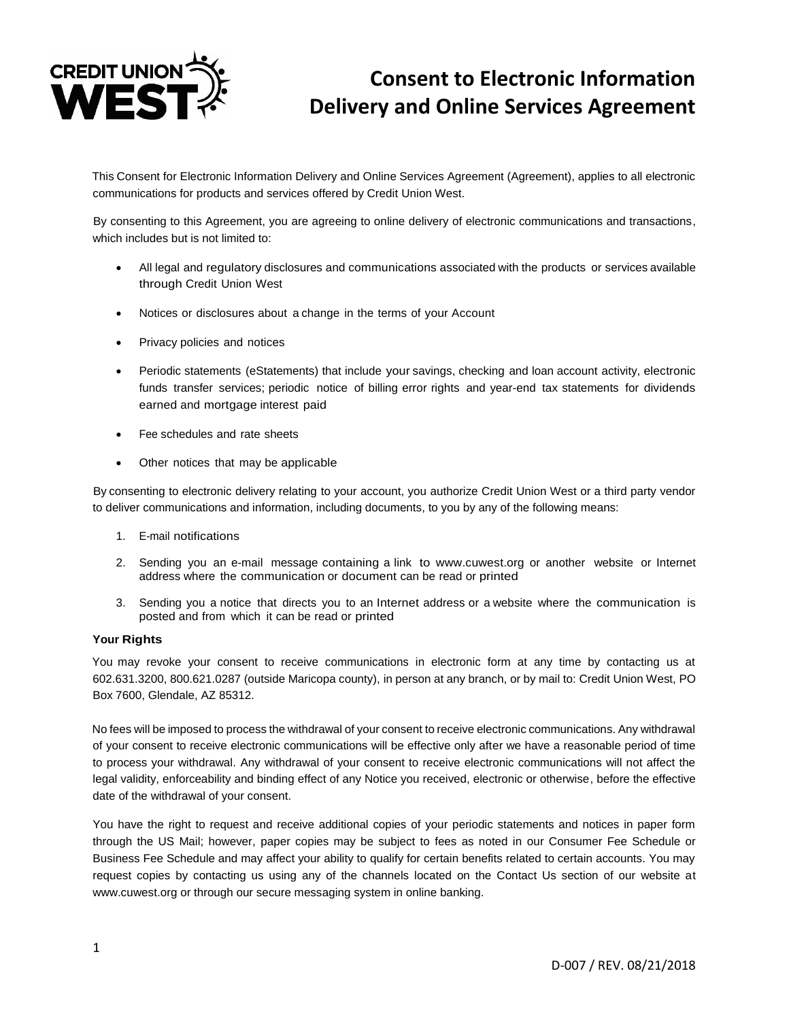

## **Consent to Electronic Information Delivery and Online Services Agreement**

This Consent for Electronic Information Delivery and Online Services Agreement (Agreement), applies to all electronic communications for products and services offered by Credit Union West.

By consenting to this Agreement, you are agreeing to online delivery of electronic communications and transactions, which includes but is not limited to:

- All legal and regulatory disclosures and communications associated with the products or services available through Credit Union West
- Notices or disclosures about a change in the terms of your Account
- Privacy policies and notices
- Periodic statements (eStatements) that include your savings, checking and loan account activity, electronic funds transfer services; periodic notice of billing error rights and year-end tax statements for dividends earned and mortgage interest paid
- Fee schedules and rate sheets
- Other notices that may be applicable

By consenting to electronic delivery relating to your account, you authorize Credit Union West or a third party vendor to deliver communications and information, including documents, to you by any of the following means:

- 1. E-mail notifications
- 2. Sending you an e-mail message containing a link to [www.cuwest.org](http://www.cuwest.org/) or another website or Internet address where the communication or document can be read or printed
- 3. Sending you a notice that directs you to an Internet address or a website where the communication is posted and from which it can be read or printed

## **Your Rights**

You may revoke your consent to receive communications in electronic form at any time by contacting us at 602.631.3200, 800.621.0287 (outside Maricopa county), in person at any branch, or by mail to: Credit Union West, PO Box 7600, Glendale, AZ 85312.

No fees will be imposed to process the withdrawal of your consent to receive electronic communications. Any withdrawal of your consent to receive electronic communications will be effective only after we have a reasonable period of time to process your withdrawal. Any withdrawal of your consent to receive electronic communications will not affect the legal validity, enforceability and binding effect of any Notice you received, electronic or otherwise, before the effective date of the withdrawal of your consent.

You have the right to request and receive additional copies of your periodic statements and notices in paper form through the US Mail; however, paper copies may be subject to fees as noted in our Consumer Fee Schedule or Business Fee Schedule and may affect your ability to qualify for certain benefits related to certain accounts. You may request copies by contacting us using any of the channels located on the Contact Us section of our website at www.cuwest.org or through our secure messaging system in online banking.